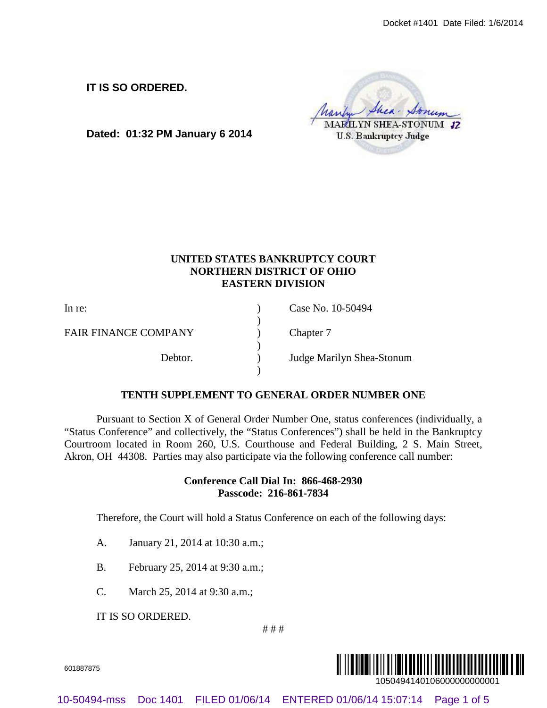# **UNITED STATES BANKRUPTCY COURT NORTHERN DISTRICT OF OHIO EASTERN DIVISION**

|                                                                                   |                                 |                                                                 | Docket #1401 Date Filed: 1/6/2014                                                                                                                                                                                                                                                                                                                                              |  |
|-----------------------------------------------------------------------------------|---------------------------------|-----------------------------------------------------------------|--------------------------------------------------------------------------------------------------------------------------------------------------------------------------------------------------------------------------------------------------------------------------------------------------------------------------------------------------------------------------------|--|
|                                                                                   | IT IS SO ORDERED.               | Dated: 01:32 PM January 6 2014                                  | <b>AELLYN SHEA-STONUM 12</b><br><b>U.S. Bankruptcy Judge</b>                                                                                                                                                                                                                                                                                                                   |  |
|                                                                                   |                                 | <b>NORTHERN DISTRICT OF OHIO</b><br><b>EASTERN DIVISION</b>     | UNITED STATES BANKRUPTCY COURT                                                                                                                                                                                                                                                                                                                                                 |  |
| In re:                                                                            |                                 |                                                                 | Case No. 10-50494                                                                                                                                                                                                                                                                                                                                                              |  |
| <b>FAIR FINANCE COMPANY</b>                                                       |                                 |                                                                 | Chapter 7                                                                                                                                                                                                                                                                                                                                                                      |  |
|                                                                                   | Debtor.                         |                                                                 | Judge Marilyn Shea-Stonum                                                                                                                                                                                                                                                                                                                                                      |  |
|                                                                                   |                                 |                                                                 | TENTH SUPPLEMENT TO GENERAL ORDER NUMBER ONE                                                                                                                                                                                                                                                                                                                                   |  |
|                                                                                   |                                 |                                                                 | Pursuant to Section X of General Order Number One, status conferences (individually, a<br>"Status Conference" and collectively, the "Status Conferences") shall be held in the Bankruptcy<br>Courtroom located in Room 260, U.S. Courthouse and Federal Building, 2 S. Main Street,<br>Akron, OH 44308. Parties may also participate via the following conference call number: |  |
|                                                                                   |                                 | Conference Call Dial In: 866-468-2930<br>Passcode: 216-861-7834 |                                                                                                                                                                                                                                                                                                                                                                                |  |
| Therefore, the Court will hold a Status Conference on each of the following days: |                                 |                                                                 |                                                                                                                                                                                                                                                                                                                                                                                |  |
| A.                                                                                | January 21, 2014 at 10:30 a.m.; |                                                                 |                                                                                                                                                                                                                                                                                                                                                                                |  |
| <b>B.</b>                                                                         |                                 | February 25, 2014 at 9:30 a.m.;                                 |                                                                                                                                                                                                                                                                                                                                                                                |  |
| C.                                                                                | March 25, 2014 at 9:30 a.m.;    |                                                                 |                                                                                                                                                                                                                                                                                                                                                                                |  |
|                                                                                   | IT IS SO ORDERED.               | ###                                                             |                                                                                                                                                                                                                                                                                                                                                                                |  |
| 601887875                                                                         |                                 |                                                                 | 1050494140106000000000001                                                                                                                                                                                                                                                                                                                                                      |  |
| 10-50494-mss                                                                      |                                 | Doc 1401 FILED 01/06/14                                         | ENTERED 01/06/14 15:07:14 Page 1 of 5                                                                                                                                                                                                                                                                                                                                          |  |

# **TENTH SUPPLEMENT TO GENERAL ORDER NUMBER ONE**

## **Conference Call Dial In: 866-468-2930 Passcode: 216-861-7834**

- A. January 21, 2014 at 10:30 a.m.;
- B. February 25, 2014 at 9:30 a.m.;
- C. March 25, 2014 at 9:30 a.m.;

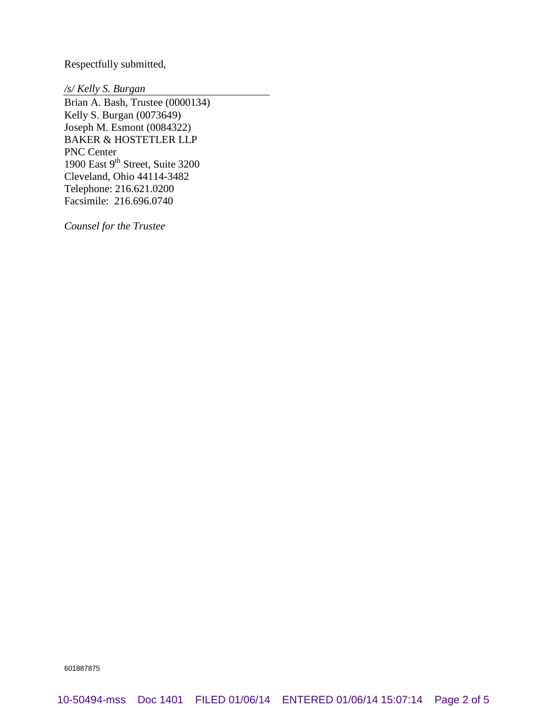Respectfully submitted,

*/s/ Kelly S. Burgan*

Brian A. Bash, Trustee (0000134) Kelly S. Burgan (0073649) Joseph M. Esmont (0084322) BAKER & HOSTETLER LLP PNC Center 1900 East  $9<sup>th</sup>$  Street, Suite 3200 Cleveland, Ohio 44114-3482 Telephone: 216.621.0200 Facsimile: 216.696.0740

*Counsel for the Trustee*

601887875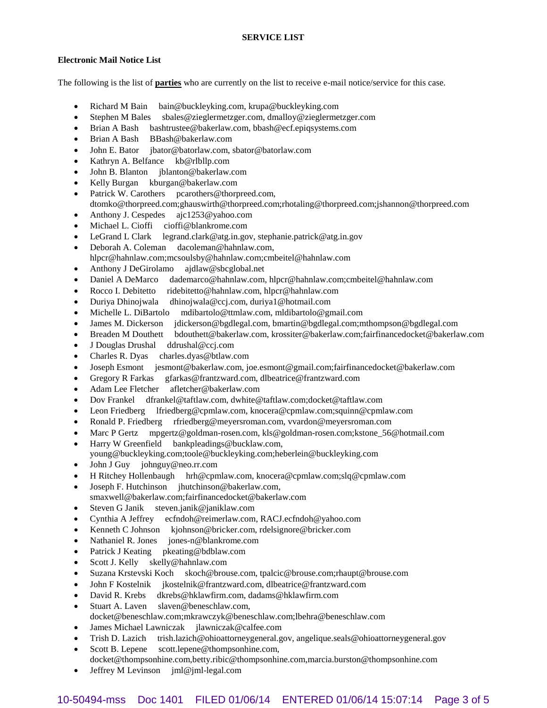### **Electronic Mail Notice List**

The following is the list of **parties** who are currently on the list to receive e-mail notice/service for this case.

- Richard M Bain bain@buckleyking.com, krupa@buckleyking.com
- Stephen M Bales sbales@zieglermetzger.com, dmalloy@zieglermetzger.com
- Brian A Bash bashtrustee@bakerlaw.com, bbash@ecf.epiqsystems.com
- Brian A Bash BBash@bakerlaw.com
- John E. Bator jbator@batorlaw.com, sbator@batorlaw.com
- Kathryn A. Belfance kb@rlbllp.com
- John B. Blanton jblanton@bakerlaw.com
- Kelly Burgan kburgan@bakerlaw.com
- Patrick W. Carothers pcarothers@thorpreed.com,
- dtomko@thorpreed.com;ghauswirth@thorpreed.com;rhotaling@thorpreed.com;jshannon@thorpreed.com
- Anthony J. Cespedes ajc1253@yahoo.com
- Michael L. Cioffi cioffi@blankrome.com
- LeGrand L Clark legrand.clark@atg.in.gov, stephanie.patrick@atg.in.gov
- Deborah A. Coleman dacoleman@hahnlaw.com, hlpcr@hahnlaw.com;mcsoulsby@hahnlaw.com;cmbeitel@hahnlaw.com
- Anthony J DeGirolamo ajdlaw@sbcglobal.net
- Daniel A DeMarco dademarco@hahnlaw.com, hlpcr@hahnlaw.com;cmbeitel@hahnlaw.com
- Rocco I. Debitetto ridebitetto@hahnlaw.com, hlpcr@hahnlaw.com
- Duriya Dhinojwala dhinojwala@ccj.com, duriya1@hotmail.com
- Michelle L. DiBartolo mdibartolo@ttmlaw.com, mldibartolo@gmail.com
- James M. Dickerson jdickerson@bgdlegal.com, bmartin@bgdlegal.com;mthompson@bgdlegal.com
- Breaden M Douthett bdouthett@bakerlaw.com, krossiter@bakerlaw.com;fairfinancedocket@bakerlaw.com
- J Douglas Drushal ddrushal@ccj.com
- Charles R. Dyas charles.dyas@btlaw.com
- Joseph Esmont jesmont@bakerlaw.com, joe.esmont@gmail.com;fairfinancedocket@bakerlaw.com
- Gregory R Farkas gfarkas@frantzward.com, dlbeatrice@frantzward.com
- Adam Lee Fletcher afletcher@bakerlaw.com
- Dov Frankel dfrankel@taftlaw.com, dwhite@taftlaw.com;docket@taftlaw.com
- Leon Friedberg lfriedberg@cpmlaw.com, knocera@cpmlaw.com;squinn@cpmlaw.com
- Ronald P. Friedberg rfriedberg@meyersroman.com, vvardon@meyersroman.com
- Marc P Gertz mpgertz@goldman-rosen.com, kls@goldman-rosen.com;kstone\_56@hotmail.com
- Harry W Greenfield bankpleadings@bucklaw.com, young@buckleyking.com;toole@buckleyking.com;heberlein@buckleyking.com
- John J Guy johnguy@neo.rr.com
- H Ritchey Hollenbaugh hrh@cpmlaw.com, knocera@cpmlaw.com;slq@cpmlaw.com
- Joseph F. Hutchinson jhutchinson@bakerlaw.com,
- smaxwell@bakerlaw.com;fairfinancedocket@bakerlaw.com
- Steven G Janik steven.janik@janiklaw.com
- Cynthia A Jeffrey ecfndoh@reimerlaw.com, RACJ.ecfndoh@yahoo.com
- Kenneth C Johnson kjohnson@bricker.com, rdelsignore@bricker.com
- Nathaniel R. Jones jones-n@blankrome.com
- Patrick J Keating pkeating@bdblaw.com
- Scott J. Kelly skelly@hahnlaw.com
- Suzana Krstevski Koch skoch@brouse.com, tpalcic@brouse.com;rhaupt@brouse.com
- John F Kostelnik jkostelnik@frantzward.com, dlbeatrice@frantzward.com
- David R. Krebs dkrebs@hklawfirm.com, dadams@hklawfirm.com
- Stuart A. Laven slaven@beneschlaw.com, docket@beneschlaw.com;mkrawczyk@beneschlaw.com;lbehra@beneschlaw.com
- James Michael Lawniczak jlawniczak@calfee.com
- Trish D. Lazich trish.lazich@ohioattorneygeneral.gov, angelique.seals@ohioattorneygeneral.gov
- Scott B. Lepene scott.lepene@thompsonhine.com, docket@thompsonhine.com,betty.ribic@thompsonhine.com,marcia.burston@thompsonhine.com
- Jeffrey M Levinson jml@jml-legal.com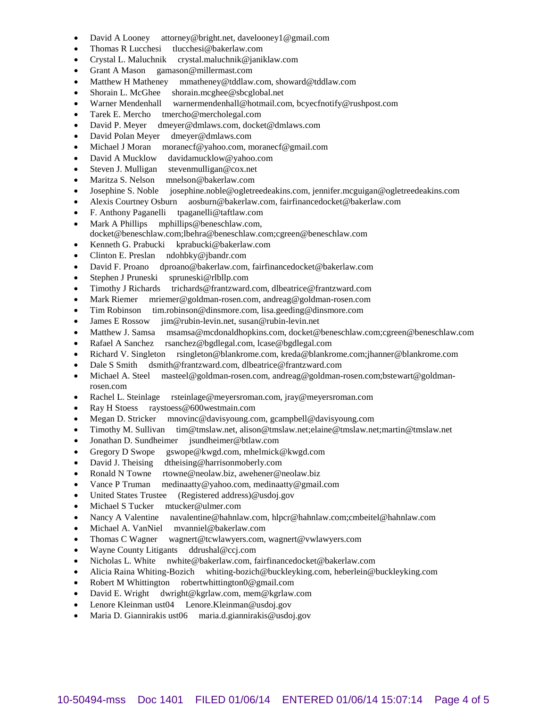- David A Looney attorney@bright.net, davelooney1@gmail.com
- Thomas R Lucchesi tlucchesi@bakerlaw.com
- Crystal L. Maluchnik crystal.maluchnik@janiklaw.com
- Grant A Mason gamason@millermast.com
- Matthew H Matheney mmatheney@tddlaw.com, showard@tddlaw.com
- Shorain L. McGhee shorain.mcghee@sbcglobal.net
- Warner Mendenhall warnermendenhall@hotmail.com, bcyecfnotify@rushpost.com
- Tarek E. Mercho tmercho@mercholegal.com
- David P. Meyer dmeyer@dmlaws.com, docket@dmlaws.com
- David Polan Meyer dmeyer@dmlaws.com
- Michael J Moran moranecf@yahoo.com, moranecf@gmail.com
- David A Mucklow davidamucklow@yahoo.com
- Steven J. Mulligan stevenmulligan@cox.net
- Maritza S. Nelson mnelson@bakerlaw.com
- Josephine S. Noble josephine.noble@ogletreedeakins.com, jennifer.mcguigan@ogletreedeakins.com
- Alexis Courtney Osburn aosburn@bakerlaw.com, fairfinancedocket@bakerlaw.com
- F. Anthony Paganelli tpaganelli@taftlaw.com
- Mark A Phillips mphillips@beneschlaw.com, docket@beneschlaw.com;lbehra@beneschlaw.com;cgreen@beneschlaw.com
- Kenneth G. Prabucki kprabucki@bakerlaw.com
- Clinton E. Preslan ndohbky@jbandr.com
- David F. Proano dproano@bakerlaw.com, fairfinancedocket@bakerlaw.com
- Stephen J Pruneski spruneski@rlbllp.com
- Timothy J Richards trichards@frantzward.com, dlbeatrice@frantzward.com
- Mark Riemer mriemer@goldman-rosen.com, andreag@goldman-rosen.com
- Tim Robinson tim.robinson@dinsmore.com, lisa.geeding@dinsmore.com
- James E Rossow jim@rubin-levin.net, susan@rubin-levin.net
- Matthew J. Samsa msamsa@mcdonaldhopkins.com, docket@beneschlaw.com;cgreen@beneschlaw.com
- Rafael A Sanchez rsanchez@bgdlegal.com, lcase@bgdlegal.com
- Richard V. Singleton rsingleton@blankrome.com, kreda@blankrome.com;jhanner@blankrome.com
- Dale S Smith dsmith@frantzward.com, dlbeatrice@frantzward.com
- Michael A. Steel masteel@goldman-rosen.com, andreag@goldman-rosen.com;bstewart@goldmanrosen.com
- Rachel L. Steinlage rsteinlage@meyersroman.com, jray@meyersroman.com
- Ray H Stoess raystoess@600westmain.com
- Megan D. Stricker mnovinc@davisyoung.com, gcampbell@davisyoung.com
- Timothy M. Sullivan tim@tmslaw.net, alison@tmslaw.net;elaine@tmslaw.net;martin@tmslaw.net
- Jonathan D. Sundheimer jsundheimer@btlaw.com
- Gregory D Swope gswope@kwgd.com, mhelmick@kwgd.com
- David J. Theising dtheising@harrisonmoberly.com
- Ronald N Towne rtowne@neolaw.biz, awehener@neolaw.biz
- Vance P Truman medinaatty@yahoo.com, medinaatty@gmail.com
- United States Trustee (Registered address)@usdoj.gov
- Michael S Tucker mtucker@ulmer.com
- Nancy A Valentine navalentine@hahnlaw.com, hlpcr@hahnlaw.com;cmbeitel@hahnlaw.com
- Michael A. VanNiel mvanniel@bakerlaw.com
- Thomas C Wagner wagnert@tcwlawyers.com, wagnert@vwlawyers.com
- Wayne County Litigants ddrushal@ccj.com
- Nicholas L. White nwhite@bakerlaw.com, fairfinancedocket@bakerlaw.com
- Alicia Raina Whiting-Bozich whiting-bozich@buckleyking.com, heberlein@buckleyking.com
- Robert M Whittington robertwhittington0@gmail.com
- David E. Wright dwright@kgrlaw.com, mem@kgrlaw.com
- Lenore Kleinman ust04 Lenore.Kleinman@usdoj.gov
- Maria D. Giannirakis ust06 maria.d.giannirakis@usdoj.gov